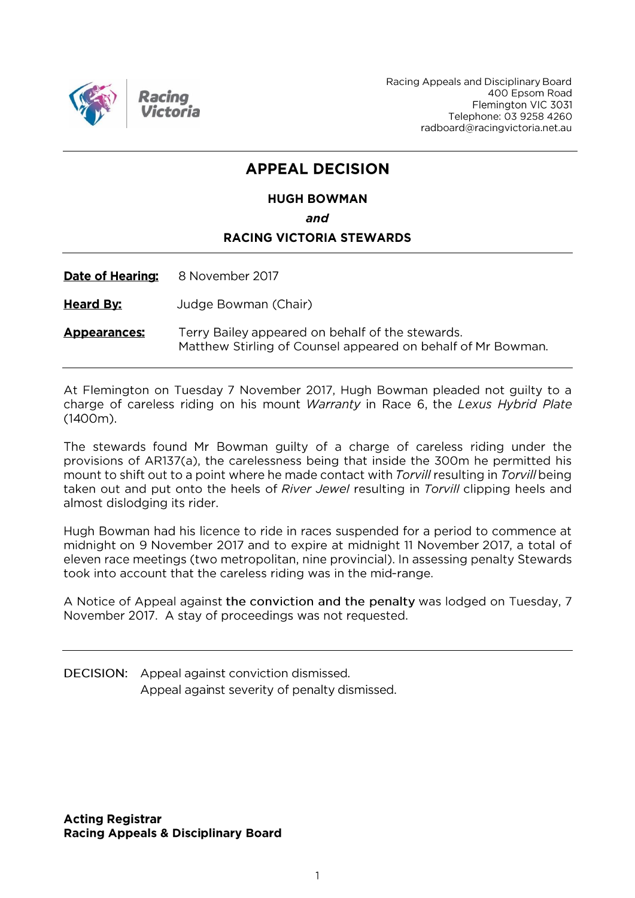

Racing Appeals and Disciplinary Board 400 Epsom Road Flemington VIC 3031 Telephone: 03 9258 4260 radboard@racingvictoria.net.au

## **APPEAL DECISION**

### **HUGH BOWMAN** and **RACING VICTORIA STEWARDS**

Date of Hearing: 8 November 2017

**Heard By:** Judge Bowman (Chair)

Terry Bailey appeared on behalf of the stewards. **Appearances:** Matthew Stirling of Counsel appeared on behalf of Mr Bowman.

At Flemington on Tuesday 7 November 2017, Hugh Bowman pleaded not guilty to a charge of careless riding on his mount Warranty in Race 6, the Lexus Hybrid Plate  $(1400m).$ 

The stewards found Mr Bowman guilty of a charge of careless riding under the provisions of AR137(a), the carelessness being that inside the 300m he permitted his mount to shift out to a point where he made contact with Torvill resulting in Torvill being taken out and put onto the heels of River Jewel resulting in Torvill clipping heels and almost dislodging its rider.

Hugh Bowman had his licence to ride in races suspended for a period to commence at midnight on 9 November 2017 and to expire at midnight 11 November 2017, a total of eleven race meetings (two metropolitan, nine provincial). In assessing penalty Stewards took into account that the careless riding was in the mid-range.

A Notice of Appeal against the conviction and the penalty was lodged on Tuesday, 7 November 2017. A stay of proceedings was not requested.

**DECISION:** Appeal against conviction dismissed. Appeal against severity of penalty dismissed.

**Acting Registrar Racing Appeals & Disciplinary Board**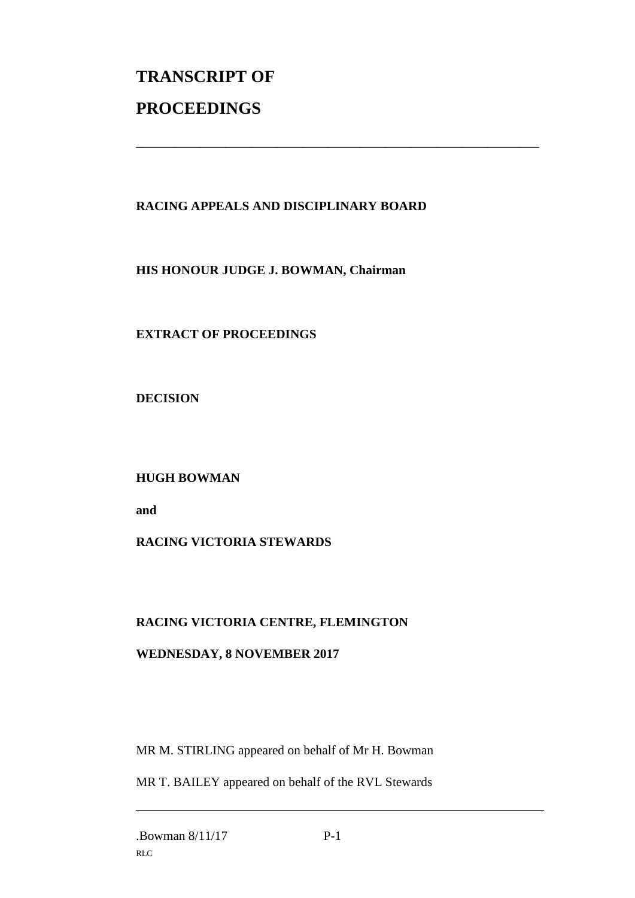# **TRANSCRIPT OF PROCEEDINGS**

#### **RACING APPEALS AND DISCIPLINARY BOARD**

\_\_\_\_\_\_\_\_\_\_\_\_\_\_\_\_\_\_\_\_\_\_\_\_\_\_\_\_\_\_\_\_\_\_\_\_\_\_\_\_\_\_\_\_\_\_\_\_\_\_\_\_\_\_\_\_\_\_\_\_\_\_\_

**HIS HONOUR JUDGE J. BOWMAN, Chairman**

**EXTRACT OF PROCEEDINGS**

**DECISION**

**HUGH BOWMAN**

**and**

#### **RACING VICTORIA STEWARDS**

#### **RACING VICTORIA CENTRE, FLEMINGTON**

#### **WEDNESDAY, 8 NOVEMBER 2017**

MR M. STIRLING appeared on behalf of Mr H. Bowman

MR T. BAILEY appeared on behalf of the RVL Stewards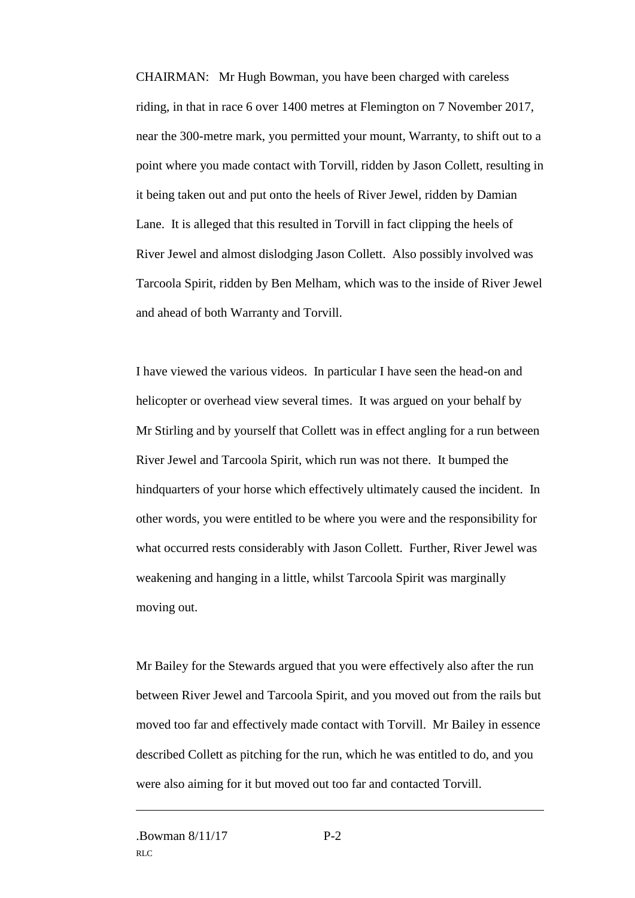CHAIRMAN: Mr Hugh Bowman, you have been charged with careless riding, in that in race 6 over 1400 metres at Flemington on 7 November 2017, near the 300-metre mark, you permitted your mount, Warranty, to shift out to a point where you made contact with Torvill, ridden by Jason Collett, resulting in it being taken out and put onto the heels of River Jewel, ridden by Damian Lane. It is alleged that this resulted in Torvill in fact clipping the heels of River Jewel and almost dislodging Jason Collett. Also possibly involved was Tarcoola Spirit, ridden by Ben Melham, which was to the inside of River Jewel and ahead of both Warranty and Torvill.

I have viewed the various videos. In particular I have seen the head-on and helicopter or overhead view several times. It was argued on your behalf by Mr Stirling and by yourself that Collett was in effect angling for a run between River Jewel and Tarcoola Spirit, which run was not there. It bumped the hindquarters of your horse which effectively ultimately caused the incident. In other words, you were entitled to be where you were and the responsibility for what occurred rests considerably with Jason Collett. Further, River Jewel was weakening and hanging in a little, whilst Tarcoola Spirit was marginally moving out.

Mr Bailey for the Stewards argued that you were effectively also after the run between River Jewel and Tarcoola Spirit, and you moved out from the rails but moved too far and effectively made contact with Torvill. Mr Bailey in essence described Collett as pitching for the run, which he was entitled to do, and you were also aiming for it but moved out too far and contacted Torvill.